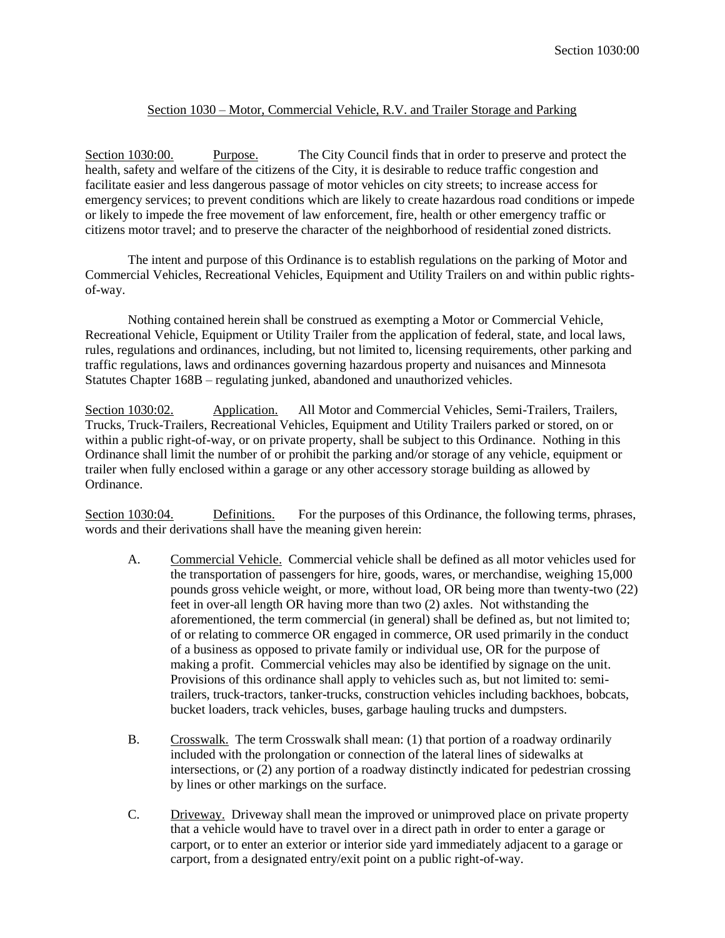# Section 1030 – Motor, Commercial Vehicle, R.V. and Trailer Storage and Parking

Section 1030:00. Purpose. The City Council finds that in order to preserve and protect the health, safety and welfare of the citizens of the City, it is desirable to reduce traffic congestion and facilitate easier and less dangerous passage of motor vehicles on city streets; to increase access for emergency services; to prevent conditions which are likely to create hazardous road conditions or impede or likely to impede the free movement of law enforcement, fire, health or other emergency traffic or citizens motor travel; and to preserve the character of the neighborhood of residential zoned districts.

The intent and purpose of this Ordinance is to establish regulations on the parking of Motor and Commercial Vehicles, Recreational Vehicles, Equipment and Utility Trailers on and within public rightsof-way.

Nothing contained herein shall be construed as exempting a Motor or Commercial Vehicle, Recreational Vehicle, Equipment or Utility Trailer from the application of federal, state, and local laws, rules, regulations and ordinances, including, but not limited to, licensing requirements, other parking and traffic regulations, laws and ordinances governing hazardous property and nuisances and Minnesota Statutes Chapter 168B – regulating junked, abandoned and unauthorized vehicles.

Section 1030:02. Application. All Motor and Commercial Vehicles, Semi-Trailers, Trailers, Trucks, Truck-Trailers, Recreational Vehicles, Equipment and Utility Trailers parked or stored, on or within a public right-of-way, or on private property, shall be subject to this Ordinance. Nothing in this Ordinance shall limit the number of or prohibit the parking and/or storage of any vehicle, equipment or trailer when fully enclosed within a garage or any other accessory storage building as allowed by Ordinance.

Section 1030:04. Definitions. For the purposes of this Ordinance, the following terms, phrases, words and their derivations shall have the meaning given herein:

- A. Commercial Vehicle. Commercial vehicle shall be defined as all motor vehicles used for the transportation of passengers for hire, goods, wares, or merchandise, weighing 15,000 pounds gross vehicle weight, or more, without load, OR being more than twenty-two (22) feet in over-all length OR having more than two (2) axles. Not withstanding the aforementioned, the term commercial (in general) shall be defined as, but not limited to; of or relating to commerce OR engaged in commerce, OR used primarily in the conduct of a business as opposed to private family or individual use, OR for the purpose of making a profit. Commercial vehicles may also be identified by signage on the unit. Provisions of this ordinance shall apply to vehicles such as, but not limited to: semitrailers, truck-tractors, tanker-trucks, construction vehicles including backhoes, bobcats, bucket loaders, track vehicles, buses, garbage hauling trucks and dumpsters.
- B. Crosswalk. The term Crosswalk shall mean: (1) that portion of a roadway ordinarily included with the prolongation or connection of the lateral lines of sidewalks at intersections, or (2) any portion of a roadway distinctly indicated for pedestrian crossing by lines or other markings on the surface.
- C. Driveway. Driveway shall mean the improved or unimproved place on private property that a vehicle would have to travel over in a direct path in order to enter a garage or carport, or to enter an exterior or interior side yard immediately adjacent to a garage or carport, from a designated entry/exit point on a public right-of-way.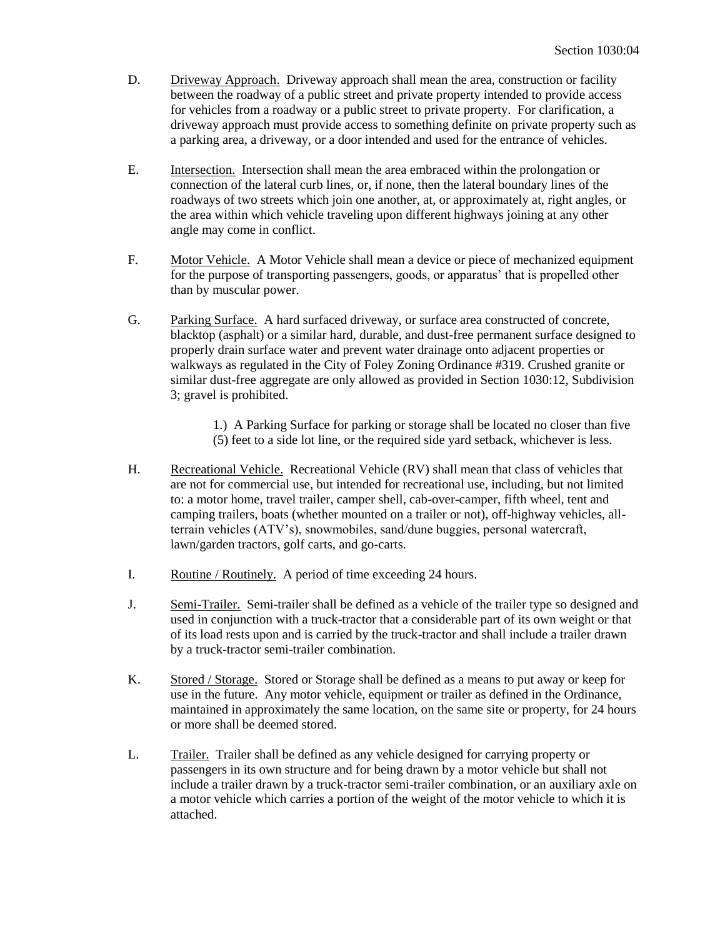- D. Driveway Approach. Driveway approach shall mean the area, construction or facility between the roadway of a public street and private property intended to provide access for vehicles from a roadway or a public street to private property. For clarification, a driveway approach must provide access to something definite on private property such as a parking area, a driveway, or a door intended and used for the entrance of vehicles.
- E. Intersection. Intersection shall mean the area embraced within the prolongation or connection of the lateral curb lines, or, if none, then the lateral boundary lines of the roadways of two streets which join one another, at, or approximately at, right angles, or the area within which vehicle traveling upon different highways joining at any other angle may come in conflict.
- F. Motor Vehicle. A Motor Vehicle shall mean a device or piece of mechanized equipment for the purpose of transporting passengers, goods, or apparatus' that is propelled other than by muscular power.
- G. Parking Surface. A hard surfaced driveway, or surface area constructed of concrete, blacktop (asphalt) or a similar hard, durable, and dust-free permanent surface designed to properly drain surface water and prevent water drainage onto adjacent properties or walkways as regulated in the City of Foley Zoning Ordinance #319. Crushed granite or similar dust-free aggregate are only allowed as provided in Section 1030:12, Subdivision 3; gravel is prohibited.

1.) A Parking Surface for parking or storage shall be located no closer than five (5) feet to a side lot line, or the required side yard setback, whichever is less.

- H. Recreational Vehicle. Recreational Vehicle (RV) shall mean that class of vehicles that are not for commercial use, but intended for recreational use, including, but not limited to: a motor home, travel trailer, camper shell, cab-over-camper, fifth wheel, tent and camping trailers, boats (whether mounted on a trailer or not), off-highway vehicles, allterrain vehicles (ATV's), snowmobiles, sand/dune buggies, personal watercraft, lawn/garden tractors, golf carts, and go-carts.
- I. Routine / Routinely. A period of time exceeding 24 hours.
- J. Semi-Trailer. Semi-trailer shall be defined as a vehicle of the trailer type so designed and used in conjunction with a truck-tractor that a considerable part of its own weight or that of its load rests upon and is carried by the truck-tractor and shall include a trailer drawn by a truck-tractor semi-trailer combination.
- K. Stored / Storage. Stored or Storage shall be defined as a means to put away or keep for use in the future. Any motor vehicle, equipment or trailer as defined in the Ordinance, maintained in approximately the same location, on the same site or property, for 24 hours or more shall be deemed stored.
- L. Trailer. Trailer shall be defined as any vehicle designed for carrying property or passengers in its own structure and for being drawn by a motor vehicle but shall not include a trailer drawn by a truck-tractor semi-trailer combination, or an auxiliary axle on a motor vehicle which carries a portion of the weight of the motor vehicle to which it is attached.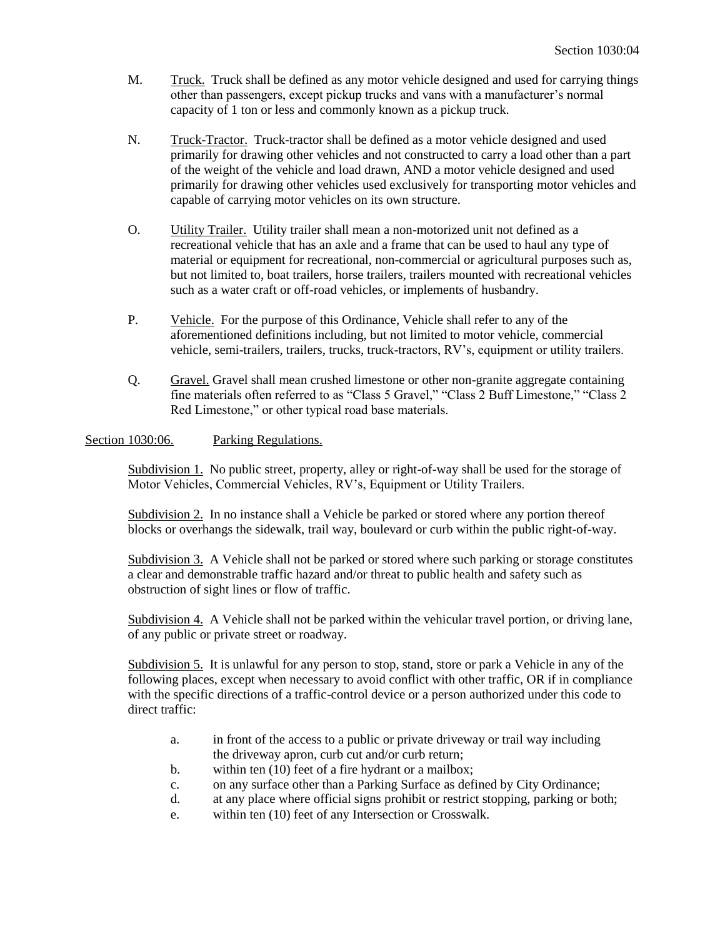- M. Truck. Truck shall be defined as any motor vehicle designed and used for carrying things other than passengers, except pickup trucks and vans with a manufacturer's normal capacity of 1 ton or less and commonly known as a pickup truck.
- N. Truck-Tractor. Truck-tractor shall be defined as a motor vehicle designed and used primarily for drawing other vehicles and not constructed to carry a load other than a part of the weight of the vehicle and load drawn, AND a motor vehicle designed and used primarily for drawing other vehicles used exclusively for transporting motor vehicles and capable of carrying motor vehicles on its own structure.
- O. Utility Trailer. Utility trailer shall mean a non-motorized unit not defined as a recreational vehicle that has an axle and a frame that can be used to haul any type of material or equipment for recreational, non-commercial or agricultural purposes such as, but not limited to, boat trailers, horse trailers, trailers mounted with recreational vehicles such as a water craft or off-road vehicles, or implements of husbandry.
- P. Vehicle. For the purpose of this Ordinance, Vehicle shall refer to any of the aforementioned definitions including, but not limited to motor vehicle, commercial vehicle, semi-trailers, trailers, trucks, truck-tractors, RV's, equipment or utility trailers.
- Q. Gravel. Gravel shall mean crushed limestone or other non-granite aggregate containing fine materials often referred to as "Class 5 Gravel," "Class 2 Buff Limestone," "Class 2 Red Limestone," or other typical road base materials.

## Section 1030:06. Parking Regulations.

Subdivision 1. No public street, property, alley or right-of-way shall be used for the storage of Motor Vehicles, Commercial Vehicles, RV's, Equipment or Utility Trailers.

Subdivision 2. In no instance shall a Vehicle be parked or stored where any portion thereof blocks or overhangs the sidewalk, trail way, boulevard or curb within the public right-of-way.

Subdivision 3. A Vehicle shall not be parked or stored where such parking or storage constitutes a clear and demonstrable traffic hazard and/or threat to public health and safety such as obstruction of sight lines or flow of traffic.

Subdivision 4. A Vehicle shall not be parked within the vehicular travel portion, or driving lane, of any public or private street or roadway.

Subdivision 5. It is unlawful for any person to stop, stand, store or park a Vehicle in any of the following places, except when necessary to avoid conflict with other traffic, OR if in compliance with the specific directions of a traffic-control device or a person authorized under this code to direct traffic:

- a. in front of the access to a public or private driveway or trail way including the driveway apron, curb cut and/or curb return;
- b. within ten (10) feet of a fire hydrant or a mailbox;
- c. on any surface other than a Parking Surface as defined by City Ordinance;
- d. at any place where official signs prohibit or restrict stopping, parking or both;
- e. within ten (10) feet of any Intersection or Crosswalk.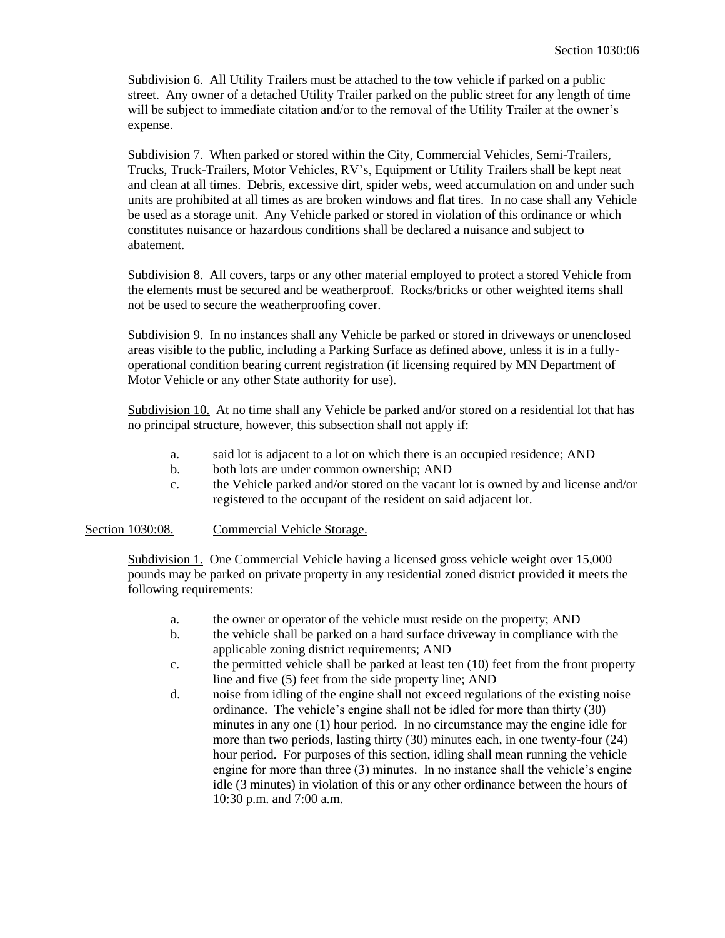Subdivision 6. All Utility Trailers must be attached to the tow vehicle if parked on a public street. Any owner of a detached Utility Trailer parked on the public street for any length of time will be subject to immediate citation and/or to the removal of the Utility Trailer at the owner's expense.

Subdivision 7. When parked or stored within the City, Commercial Vehicles, Semi-Trailers, Trucks, Truck-Trailers, Motor Vehicles, RV's, Equipment or Utility Trailers shall be kept neat and clean at all times. Debris, excessive dirt, spider webs, weed accumulation on and under such units are prohibited at all times as are broken windows and flat tires. In no case shall any Vehicle be used as a storage unit. Any Vehicle parked or stored in violation of this ordinance or which constitutes nuisance or hazardous conditions shall be declared a nuisance and subject to abatement.

Subdivision 8. All covers, tarps or any other material employed to protect a stored Vehicle from the elements must be secured and be weatherproof. Rocks/bricks or other weighted items shall not be used to secure the weatherproofing cover.

Subdivision 9. In no instances shall any Vehicle be parked or stored in driveways or unenclosed areas visible to the public, including a Parking Surface as defined above, unless it is in a fullyoperational condition bearing current registration (if licensing required by MN Department of Motor Vehicle or any other State authority for use).

Subdivision 10. At no time shall any Vehicle be parked and/or stored on a residential lot that has no principal structure, however, this subsection shall not apply if:

- a. said lot is adjacent to a lot on which there is an occupied residence; AND
- b. both lots are under common ownership; AND
- c. the Vehicle parked and/or stored on the vacant lot is owned by and license and/or registered to the occupant of the resident on said adjacent lot.

### Section 1030:08. Commercial Vehicle Storage.

Subdivision 1. One Commercial Vehicle having a licensed gross vehicle weight over 15,000 pounds may be parked on private property in any residential zoned district provided it meets the following requirements:

- a. the owner or operator of the vehicle must reside on the property; AND
- b. the vehicle shall be parked on a hard surface driveway in compliance with the applicable zoning district requirements; AND
- c. the permitted vehicle shall be parked at least ten (10) feet from the front property line and five (5) feet from the side property line; AND
- d. noise from idling of the engine shall not exceed regulations of the existing noise ordinance. The vehicle's engine shall not be idled for more than thirty (30) minutes in any one (1) hour period. In no circumstance may the engine idle for more than two periods, lasting thirty (30) minutes each, in one twenty-four (24) hour period. For purposes of this section, idling shall mean running the vehicle engine for more than three (3) minutes. In no instance shall the vehicle's engine idle (3 minutes) in violation of this or any other ordinance between the hours of 10:30 p.m. and 7:00 a.m.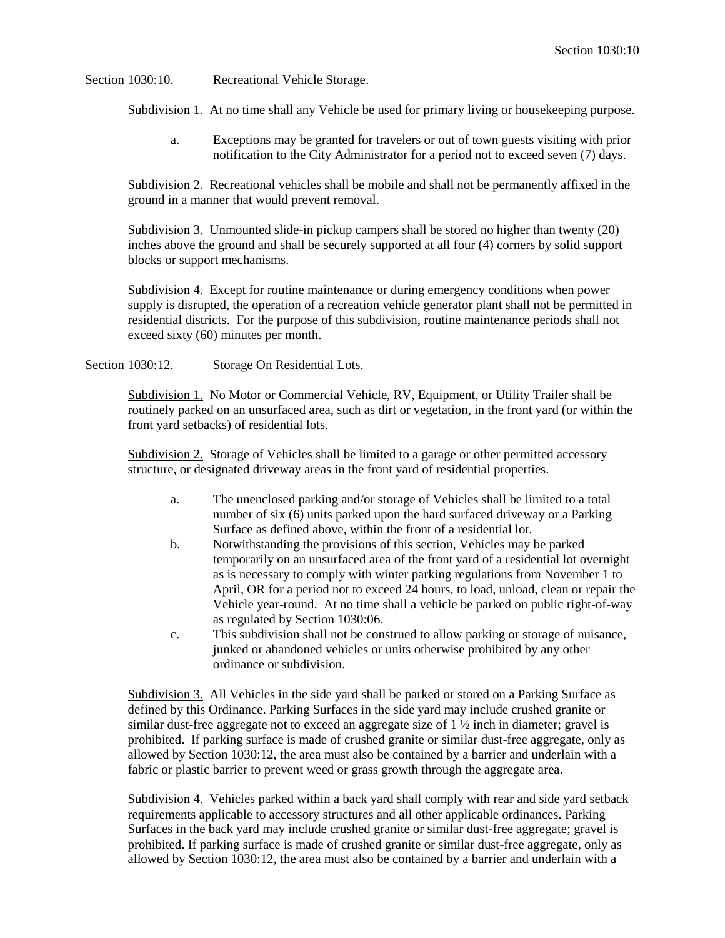### Section 1030:10. Recreational Vehicle Storage.

Subdivision 1. At no time shall any Vehicle be used for primary living or housekeeping purpose.

a. Exceptions may be granted for travelers or out of town guests visiting with prior notification to the City Administrator for a period not to exceed seven (7) days.

Subdivision 2. Recreational vehicles shall be mobile and shall not be permanently affixed in the ground in a manner that would prevent removal.

Subdivision 3. Unmounted slide-in pickup campers shall be stored no higher than twenty (20) inches above the ground and shall be securely supported at all four (4) corners by solid support blocks or support mechanisms.

Subdivision 4. Except for routine maintenance or during emergency conditions when power supply is disrupted, the operation of a recreation vehicle generator plant shall not be permitted in residential districts. For the purpose of this subdivision, routine maintenance periods shall not exceed sixty (60) minutes per month.

#### Section 1030:12. Storage On Residential Lots.

Subdivision 1. No Motor or Commercial Vehicle, RV, Equipment, or Utility Trailer shall be routinely parked on an unsurfaced area, such as dirt or vegetation, in the front yard (or within the front yard setbacks) of residential lots.

Subdivision 2. Storage of Vehicles shall be limited to a garage or other permitted accessory structure, or designated driveway areas in the front yard of residential properties.

- a. The unenclosed parking and/or storage of Vehicles shall be limited to a total number of six (6) units parked upon the hard surfaced driveway or a Parking Surface as defined above, within the front of a residential lot.
- b. Notwithstanding the provisions of this section, Vehicles may be parked temporarily on an unsurfaced area of the front yard of a residential lot overnight as is necessary to comply with winter parking regulations from November 1 to April, OR for a period not to exceed 24 hours, to load, unload, clean or repair the Vehicle year-round. At no time shall a vehicle be parked on public right-of-way as regulated by Section 1030:06.
- c. This subdivision shall not be construed to allow parking or storage of nuisance, junked or abandoned vehicles or units otherwise prohibited by any other ordinance or subdivision.

Subdivision 3. All Vehicles in the side yard shall be parked or stored on a Parking Surface as defined by this Ordinance. Parking Surfaces in the side yard may include crushed granite or similar dust-free aggregate not to exceed an aggregate size of  $1 \frac{1}{2}$  inch in diameter; gravel is prohibited. If parking surface is made of crushed granite or similar dust-free aggregate, only as allowed by Section 1030:12, the area must also be contained by a barrier and underlain with a fabric or plastic barrier to prevent weed or grass growth through the aggregate area.

Subdivision 4. Vehicles parked within a back yard shall comply with rear and side yard setback requirements applicable to accessory structures and all other applicable ordinances. Parking Surfaces in the back yard may include crushed granite or similar dust-free aggregate; gravel is prohibited. If parking surface is made of crushed granite or similar dust-free aggregate, only as allowed by Section 1030:12, the area must also be contained by a barrier and underlain with a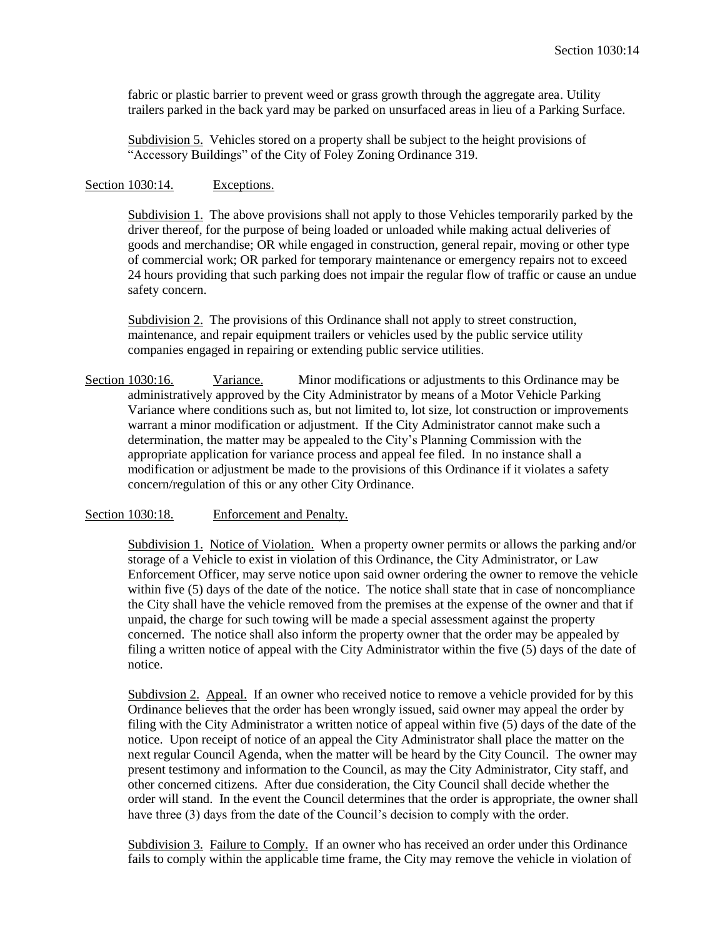fabric or plastic barrier to prevent weed or grass growth through the aggregate area. Utility trailers parked in the back yard may be parked on unsurfaced areas in lieu of a Parking Surface.

Subdivision 5. Vehicles stored on a property shall be subject to the height provisions of "Accessory Buildings" of the City of Foley Zoning Ordinance 319.

#### Section 1030:14. Exceptions.

Subdivision 1. The above provisions shall not apply to those Vehicles temporarily parked by the driver thereof, for the purpose of being loaded or unloaded while making actual deliveries of goods and merchandise; OR while engaged in construction, general repair, moving or other type of commercial work; OR parked for temporary maintenance or emergency repairs not to exceed 24 hours providing that such parking does not impair the regular flow of traffic or cause an undue safety concern.

Subdivision 2. The provisions of this Ordinance shall not apply to street construction, maintenance, and repair equipment trailers or vehicles used by the public service utility companies engaged in repairing or extending public service utilities.

Section 1030:16. Variance. Minor modifications or adjustments to this Ordinance may be administratively approved by the City Administrator by means of a Motor Vehicle Parking Variance where conditions such as, but not limited to, lot size, lot construction or improvements warrant a minor modification or adjustment. If the City Administrator cannot make such a determination, the matter may be appealed to the City's Planning Commission with the appropriate application for variance process and appeal fee filed. In no instance shall a modification or adjustment be made to the provisions of this Ordinance if it violates a safety concern/regulation of this or any other City Ordinance.

Section 1030:18. Enforcement and Penalty.

Subdivision 1. Notice of Violation. When a property owner permits or allows the parking and/or storage of a Vehicle to exist in violation of this Ordinance, the City Administrator, or Law Enforcement Officer, may serve notice upon said owner ordering the owner to remove the vehicle within five (5) days of the date of the notice. The notice shall state that in case of noncompliance the City shall have the vehicle removed from the premises at the expense of the owner and that if unpaid, the charge for such towing will be made a special assessment against the property concerned. The notice shall also inform the property owner that the order may be appealed by filing a written notice of appeal with the City Administrator within the five (5) days of the date of notice.

Subdivsion 2. Appeal. If an owner who received notice to remove a vehicle provided for by this Ordinance believes that the order has been wrongly issued, said owner may appeal the order by filing with the City Administrator a written notice of appeal within five (5) days of the date of the notice. Upon receipt of notice of an appeal the City Administrator shall place the matter on the next regular Council Agenda, when the matter will be heard by the City Council. The owner may present testimony and information to the Council, as may the City Administrator, City staff, and other concerned citizens. After due consideration, the City Council shall decide whether the order will stand. In the event the Council determines that the order is appropriate, the owner shall have three (3) days from the date of the Council's decision to comply with the order.

Subdivision 3. Failure to Comply. If an owner who has received an order under this Ordinance fails to comply within the applicable time frame, the City may remove the vehicle in violation of